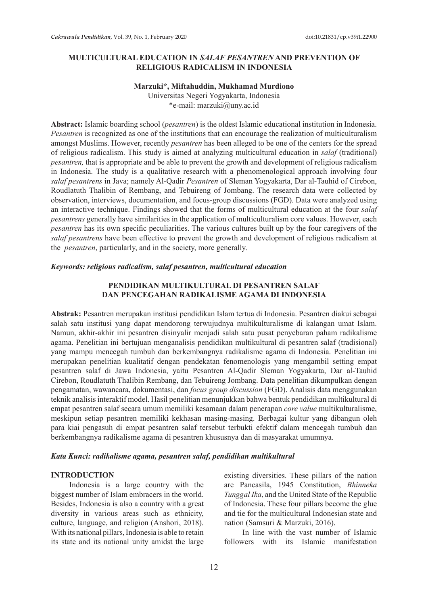## **MULTICULTURAL EDUCATION IN** *SALAF PESANTREN* **AND PREVENTION OF RELIGIOUS RADICALISM IN INDONESIA**

#### **Marzuki\*, Miftahuddin, Mukhamad Murdiono**

Universitas Negeri Yogyakarta, Indonesia \*e-mail: marzuki@uny.ac.id

**Abstract:** Islamic boarding school (*pesantren*) is the oldest Islamic educational institution in Indonesia. *Pesantren* is recognized as one of the institutions that can encourage the realization of multiculturalism amongst Muslims. However, recently *pesantren* has been alleged to be one of the centers for the spread of religious radicalism. This study is aimed at analyzing multicultural education in *salaf* (traditional) *pesantren,* that is appropriate and be able to prevent the growth and development of religious radicalism in Indonesia. The study is a qualitative research with a phenomenological approach involving four *salaf pesantrens* in Java; namely Al-Qadir *Pesantren* of Sleman Yogyakarta, Dar al-Tauhid of Cirebon, Roudlatuth Thalibin of Rembang, and Tebuireng of Jombang. The research data were collected by observation, interviews, documentation, and focus-group discussions (FGD). Data were analyzed using an interactive technique. Findings showed that the forms of multicultural education at the four *salaf pesantrens* generally have similarities in the application of multiculturalism core values. However, each *pesantren* has its own specific peculiarities. The various cultures built up by the four caregivers of the *salaf pesantrens* have been effective to prevent the growth and development of religious radicalism at the *pesantren*, particularly, and in the society, more generally.

#### *Keywords: religious radicalism, salaf pesantren, multicultural education*

### **PENDIDIKAN MULTIKULTURAL DI PESANTREN SALAF DAN PENCEGAHAN RADIKALISME AGAMA DI INDONESIA**

**Abstrak:** Pesantren merupakan institusi pendidikan Islam tertua di Indonesia. Pesantren diakui sebagai salah satu institusi yang dapat mendorong terwujudnya multikulturalisme di kalangan umat Islam. Namun, akhir-akhir ini pesantren disinyalir menjadi salah satu pusat penyebaran paham radikalisme agama. Penelitian ini bertujuan menganalisis pendidikan multikultural di pesantren salaf (tradisional) yang mampu mencegah tumbuh dan berkembangnya radikalisme agama di Indonesia. Penelitian ini merupakan penelitian kualitatif dengan pendekatan fenomenologis yang mengambil setting empat pesantren salaf di Jawa Indonesia, yaitu Pesantren Al-Qadir Sleman Yogyakarta, Dar al-Tauhid Cirebon, Roudlatuth Thalibin Rembang, dan Tebuireng Jombang. Data penelitian dikumpulkan dengan pengamatan, wawancara, dokumentasi, dan *focus group discussion* (FGD). Analisis data menggunakan teknik analisis interaktif model. Hasil penelitian menunjukkan bahwa bentuk pendidikan multikultural di empat pesantren salaf secara umum memiliki kesamaan dalam penerapan *core value* multikulturalisme, meskipun setiap pesantren memiliki kekhasan masing-masing. Berbagai kultur yang dibangun oleh para kiai pengasuh di empat pesantren salaf tersebut terbukti efektif dalam mencegah tumbuh dan berkembangnya radikalisme agama di pesantren khususnya dan di masyarakat umumnya.

#### *Kata Kunci: radikalisme agama, pesantren salaf, pendidikan multikultural*

### **INTRODUCTION**

Indonesia is a large country with the biggest number of Islam embracers in the world. Besides, Indonesia is also a country with a great diversity in various areas such as ethnicity, culture, language, and religion (Anshori, 2018). With its national pillars, Indonesia is able to retain its state and its national unity amidst the large existing diversities. These pillars of the nation are Pancasila, 1945 Constitution, *Bhinneka Tunggal Ika*, and the United State of the Republic of Indonesia. These four pillars become the glue and tie for the multicultural Indonesian state and nation (Samsuri & Marzuki, 2016).

In line with the vast number of Islamic followers with its Islamic manifestation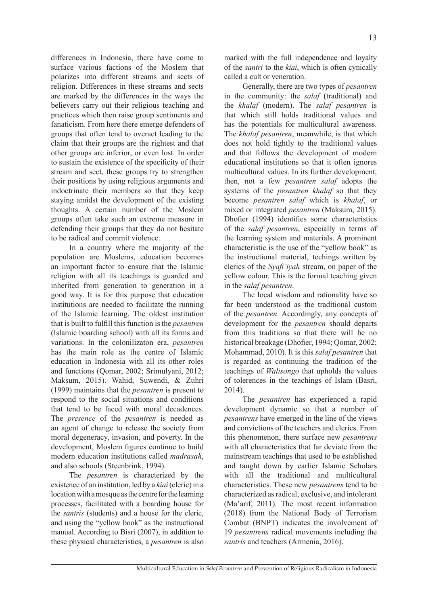differences in Indonesia, there have come to surface various factions of the Moslem that polarizes into different streams and sects of religion. Differences in these streams and sects are marked by the differences in the ways the believers carry out their religious teaching and practices which then raise group sentiments and fanaticism. From here there emerge defenders of groups that often tend to overact leading to the claim that their groups are the rightest and that other groups are inferior, or even lost. In order to sustain the existence of the specificity of their stream and sect, these groups try to strengthen their positions by using religious arguments and indoctrinate their members so that they keep staying amidst the development of the existing thoughts. A certain number of the Moslem groups often take such an extreme measure in defending their groups that they do not hesitate to be radical and commit violence.

In a country where the majority of the population are Moslems, education becomes an important factor to ensure that the Islamic religion with all its teachings is guarded and inherited from generation to generation in a good way. It is for this purpose that education institutions are needed to facilitate the running of the Islamic learning. The oldest institution that is built to fulfill this function is the *pesantren* (Islamic boarding school) with all its forms and variations. In the colonilizaton era, *pesantren* has the main role as the centre of Islamic education in Indonesia with all its other roles and functions (Qomar, 2002; Srimulyani, 2012; Maksum, 2015). Wahid, Suwendi, & Zuhri (1999) maintains that the *pesantren* is present to respond to the social situations and conditions that tend to be faced with moral decadences. The *presence* of the *pesantren* is needed as an agent of change to release the society from moral degeneracy, invasion, and poverty. In the development, Moslem figures continue to build modern education institutions called *madrasah*, and also schools (Steenbrink, 1994).

The *pesantren* is characterized by the existence of an institution, led by a *kiai* (cleric) in a location with a mosque as the centre for the learning processes, facilitated with a boarding house for the *santris* (students) and a house for the cleric, and using the "yellow book" as the instructional manual. According to Bisri (2007), in addition to these physical characteristics, a *pesantren* is also marked with the full independence and loyalty of the *santri* to the *kiai*, which is often cynically called a cult or veneration.

Generally, there are two types of *pesantren* in the community: the *salaf* (traditional) and the *khalaf* (modern). The *salaf pesantren* is that which still holds traditional values and has the potentials for multicultural awareness. The *khalaf pesantren*, meanwhile, is that which does not hold tightly to the traditional values and that follows the development of modern educational institutions so that it often ignores multicultural values. In its further development, then, not a few *pesantren salaf* adopts the systems of the *pesantren khalaf* so that they become *pesantren salaf* which is *khalaf*, or mixed or integrated *pesantren* (Maksum, 2015). Dhofier (1994) identifies some characteristics of the *salaf pesantren*, especially in terms of the learning system and materials. A prominent characteristic is the use of the "yellow book" as the instructional material, techings written by clerics of the *Syafi'iyah* stream, on paper of the yellow colour. This is the formal teaching given in the *salaf pesantren*.

The local wisdom and rationality have so far been understood as the traditional custom of the *pesantren*. Accordingly, any concepts of development for the *pesantren* should departs from this traditions so that there will be no historical breakage (Dhofier, 1994; Qomar, 2002; Mohammad, 2010). It is this *salaf pesantren* that is regarded as continuing the tradition of the teachings of *Walisongo* that upholds the values of tolerences in the teachings of Islam (Basri, 2014).

The *pesantren* has experienced a rapid development dynamic so that a number of *pesantrens* have emerged in the line of the views and convictions of the teachers and clerics. From this phenomenon, there surface new *pesantrens* with all characteristics that far deviate from the mainstream teachings that used to be established and taught down by earlier Islamic Scholars with all the traditional and multicultural characteristics. These new *pesantrens* tend to be characterized as radical, exclusive, and intolerant (Ma'arif, 2011). The most recent information (2018) from the National Body of Terrorism Combat (BNPT) indicates the involvement of 19 *pesantrens* radical movements including the *santris* and teachers (Armenia, 2016).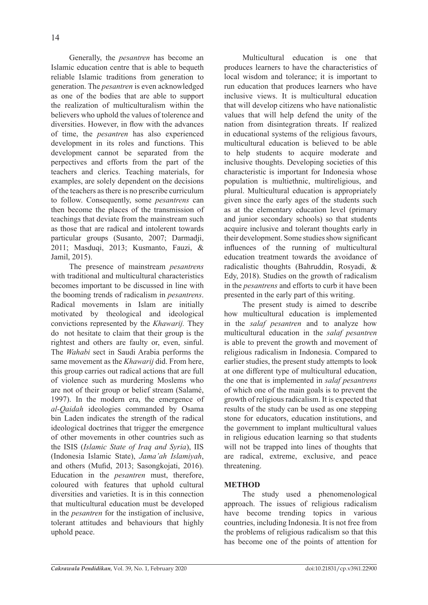Generally, the *pesantren* has become an Islamic education centre that is able to bequeth reliable Islamic traditions from generation to generation. The *pesantren* is even acknowledged as one of the bodies that are able to support the realization of multiculturalism within the believers who uphold the values of tolerence and diversities. However, in flow with the advances of time, the *pesantren* has also experienced development in its roles and functions. This development cannot be separated from the perpectives and efforts from the part of the teachers and clerics. Teaching materials, for examples, are solely dependent on the decisions of the teachers as there is no prescribe curriculum to follow. Consequently, some *pesantrens* can then become the places of the transmission of teachings that deviate from the mainstream such as those that are radical and intolerent towards particular groups (Susanto, 2007; Darmadji, 2011; Masduqi, 2013; Kusmanto, Fauzi, & Jamil, 2015).

The presence of mainstream *pesantrens* with traditional and multicultural characteristics becomes important to be discussed in line with the booming trends of radicalism in *pesantrens*. Radical movements in Islam are initially motivated by theological and ideological convictions represented by the *Khawarij.* They do not hesitate to claim that their group is the rightest and others are faulty or, even, sinful. The *Wahabi* sect in Saudi Arabia performs the same movement as the *Khawarij* did. From here, this group carries out radical actions that are full of violence such as murdering Moslems who are not of their group or belief stream (Salamé, 1997). In the modern era, the emergence of *al-Qaidah* ideologies commanded by Osama bin Laden indicates the strength of the radical ideological doctrines that trigger the emergence of other movements in other countries such as the ISIS (*Islamic State of Iraq and Syria*), IIS (Indonesia Islamic State), *Jama'ah Islamiyah*, and others (Mufid, 2013; Sasongkojati, 2016). Education in the *pesantren* must, therefore, coloured with features that uphold cultural diversities and varieties. It is in this connection that multicultural education must be developed in the *pesantren* for the instigation of inclusive, tolerant attitudes and behaviours that highly uphold peace.

Multicultural education is one that produces learners to have the characteristics of local wisdom and tolerance; it is important to run education that produces learners who have inclusive views. It is multicultural education that will develop citizens who have nationalistic values that will help defend the unity of the nation from disintegration threats. If realized in educational systems of the religious favours, multicultural education is believed to be able to help students to acquire moderate and inclusive thoughts. Developing societies of this characteristic is important for Indonesia whose population is multiethnic, multireligious, and plural. Multicultural education is appropriately given since the early ages of the students such as at the elementary education level (primary and junior secondary schools) so that students acquire inclusive and tolerant thoughts early in their development. Some studies show significant influences of the running of multicultural education treatment towards the avoidance of radicalistic thoughts (Bahruddin, Rosyadi, & Edy, 2018). Studies on the growth of radicalism in the *pesantrens* and efforts to curb it have been presented in the early part of this writing.

The present study is aimed to describe how multicultural education is implemented in the *salaf pesantren* and to analyze how multicultural education in the *salaf pesantren* is able to prevent the growth and movement of religious radicalism in Indonesia. Compared to earlier studies, the present study attempts to look at one different type of multicultural education, the one that is implemented in *salaf pesantrens* of which one of the main goals is to prevent the growth of religious radicalism. It is expected that results of the study can be used as one stepping stone for educators, education institutions, and the government to implant multicultural values in religious education learning so that students will not be trapped into lines of thoughts that are radical, extreme, exclusive, and peace threatening.

# **METHOD**

The study used a phenomenological approach. The issues of religious radicalism have become trending topics in various countries, including Indonesia. It is not free from the problems of religious radicalism so that this has become one of the points of attention for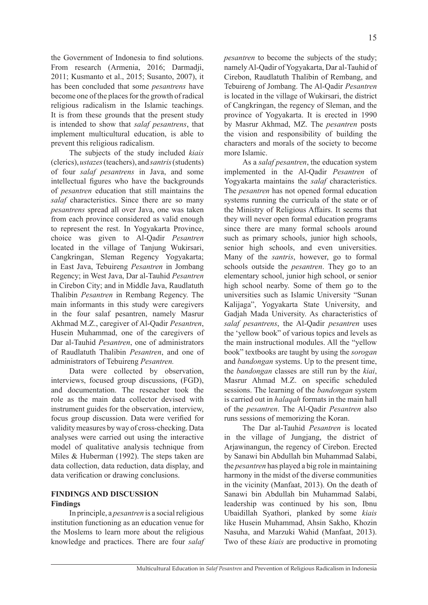the Government of Indonesia to find solutions. From research (Armenia, 2016; Darmadji, 2011; Kusmanto et al., 2015; Susanto, 2007), it has been concluded that some *pesantrens* have become one of the places for the growth of radical religious radicalism in the Islamic teachings. It is from these grounds that the present study is intended to show that *salaf pesantrens*, that implement multicultural education, is able to prevent this religious radicalism.

The subjects of the study included *kiais*  (clerics), *ustazes* (teachers), and *santris* (students) of four *salaf pesantrens* in Java, and some intellectual figures who have the backgrounds of *pesantren* education that still maintains the *salaf* characteristics. Since there are so many *pesantrens* spread all over Java, one was taken from each province considered as valid enough to represent the rest. In Yogyakarta Province, choice was given to Al-Qadir *Pesantren* located in the village of Tanjung Wukirsari, Cangkringan, Sleman Regency Yogyakarta; in East Java, Tebuireng *Pesantren* in Jombang Regency; in West Java, Dar al-Tauhid *Pesantren* in Cirebon City; and in Middle Java, Raudlatuth Thalibin *Pesantren* in Rembang Regency. The main informants in this study were caregivers in the four salaf pesantren, namely Masrur Akhmad M.Z., caregiver of Al-Qadir *Pesantren*, Husein Muhammad, one of the caregivers of Dar al-Tauhid *Pesantren*, one of administrators of Raudlatuth Thalibin *Pesantren*, and one of administrators of Tebuireng *Pesantren.*

Data were collected by observation, interviews, focused group discussions, (FGD), and documentation. The reseacher took the role as the main data collector devised with instrument guides for the observation, interview, focus group discussion. Data were verified for validity measures by way of cross-checking. Data analyses were carried out using the interactive model of qualitative analysis technique from Miles & Huberman (1992). The steps taken are data collection, data reduction, data display, and data verification or drawing conclusions.

## **FINDINGS AND DISCUSSION Findings**

In principle, a *pesantren* is a social religious institution functioning as an education venue for the Moslems to learn more about the religious knowledge and practices. There are four *salaf*  *pesantren* to become the subjects of the study; namely Al-Qadir of Yogyakarta, Dar al-Tauhid of Cirebon, Raudlatuth Thalibin of Rembang, and Tebuireng of Jombang. The Al-Qadir *Pesantren* is located in the village of Wukirsari, the district of Cangkringan, the regency of Sleman, and the province of Yogyakarta. It is erected in 1990 by Masrur Akhmad, MZ. The *pesantren* posts the vision and responsibility of building the characters and morals of the society to become more Islamic.

As a *salaf pesantren*, the education system implemented in the Al-Qadir *Pesantren* of Yogyakarta maintains the *salaf* characteristics. The *pesantren* has not opened formal education systems running the curricula of the state or of the Ministry of Religious Affairs. It seems that they will never open formal education programs since there are many formal schools around such as primary schools, junior high schools, senior high schools, and even universities. Many of the *santris*, however, go to formal schools outside the *pesantren*. They go to an elementary school, junior high school, or senior high school nearby. Some of them go to the universities such as Islamic University "Sunan Kalijaga", Yogyakarta State University, and Gadjah Mada University. As characteristics of *salaf pesantrens*, the Al-Qadir *pesantren* uses the 'yellow book" of various topics and levels as the main instructional modules. All the "yellow book" textbooks are taught by using the *sorogan* and *bandongan* systems. Up to the present time, the *bandongan* classes are still run by the *kiai*, Masrur Ahmad M.Z. on specific scheduled sessions. The learning of the *bandongan* system is carried out in *halaqah* formats in the main hall of the *pesantren*. The Al-Qadir *Pesantren* also runs sessions of memorizing the Koran.

The Dar al-Tauhid *Pesantren* is located in the village of Jungjang, the district of Arjawinangun, the regency of Cirebon. Erected by Sanawi bin Abdullah bin Muhammad Salabi, the *pesantren* has played a big role in maintaining harmony in the midst of the diverse communities in the vicinity (Manfaat, 2013). On the death of Sanawi bin Abdullah bin Muhammad Salabi, leadership was continued by his son, Ibnu Ubaidillah Syathori, planked by some *kiais* like Husein Muhammad, Ahsin Sakho, Khozin Nasuha, and Marzuki Wahid (Manfaat, 2013). Two of these *kiais* are productive in promoting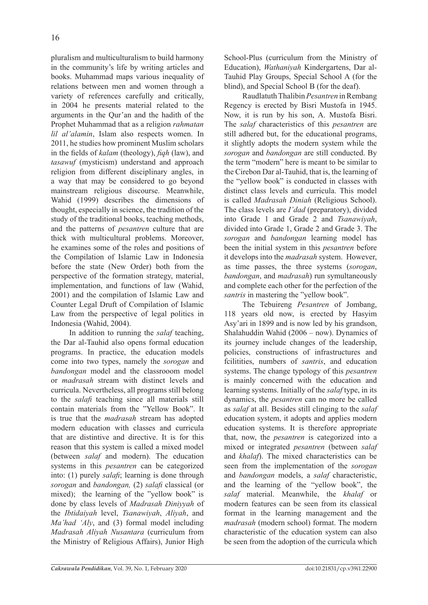pluralism and multiculturalism to build harmony in the community's life by writing articles and books. Muhammad maps various inequality of relations between men and women through a variety of references carefully and critically, in 2004 he presents material related to the arguments in the Qur'an and the hadith of the Prophet Muhammad that as a religion *rahmatan lil al'alamin*, Islam also respects women. In 2011, he studies how prominent Muslim scholars in the fields of *kalam* (theology), *fiqh* (law), and *tasawuf* (mysticism) understand and approach religion from different disciplinary angles, in a way that may be considered to go beyond mainstream religious discourse. Meanwhile, Wahid (1999) describes the dimensions of thought, especially in science, the tradition of the study of the traditional books, teaching methods, and the patterns of *pesantren* culture that are thick with multicultural problems. Moreover, he examines some of the roles and positions of the Compilation of Islamic Law in Indonesia before the state (New Order) both from the perspective of the formation strategy, material, implementation, and functions of law (Wahid, 2001) and the compilation of Islamic Law and Counter Legal Druft of Compilation of Islamic Law from the perspective of legal politics in Indonesia (Wahid, 2004).

In addition to running the *salaf* teaching, the Dar al-Tauhid also opens formal education programs. In practice, the education models come into two types, namely the *sorogan* and *bandongan* model and the classrooom model or *madrasah* stream with distinct levels and curricula. Nevertheless, all programs still belong to the *salafi* teaching since all materials still contain materials from the "Yellow Book". It is true that the *madrasah* stream has adopted modern education with classes and curricula that are distintive and directive. It is for this reason that this system is called a mixed model (between *salaf* and modern). The education systems in this *pesantren* can be categorized into: (1) purely *salafi*; learning is done through *sorogan* and *bandongan,* (2) *salafi* classical (or mixed); the learning of the "yellow book" is done by class levels of *Madrasah Diniyyah* of the *Ibtidaiyah* level, *Tsanawiyah*, *Aliyah*, and *Ma'had 'Aly*, and (3) formal model including *Madrasah Aliyah Nusantara* (curriculum from the Ministry of Religious Affairs), Junior High School-Plus (curriculum from the Ministry of Education), *Wathaniyah* Kindergartens, Dar al-Tauhid Play Groups, Special School A (for the blind), and Special School B (for the deaf).

Raudlatuth Thalibin *Pesantren* in Rembang Regency is erected by Bisri Mustofa in 1945. Now, it is run by his son, A. Mustofa Bisri. The *salaf* characteristics of this *pesantren* are still adhered but, for the educational programs, it slightly adopts the modern system while the *sorogan* and *bandongan* are still conducted. By the term "modern" here is meant to be similar to the Cirebon Dar al-Tauhid, that is, the learning of the "yellow book" is conducted in classes with distinct class levels and curricula. This model is called *Madrasah Diniah* (Religious School). The class levels are *I'dad* (preparatory), divided into Grade 1 and Grade 2 and *Tsanawiyah*, divided into Grade 1, Grade 2 and Grade 3. The *sorogan* and *bandongan* learning model has been the initial system in this *pesantren* before it develops into the *madrasah* system. However, as time passes, the three systems (*sorogan*, *bandongan*, and *madrasah*) run symultaneously and complete each other for the perfection of the *santris* in mastering the "yellow book".

The Tebuireng *Pesantren* of Jombang, 118 years old now, is erected by Hasyim Asy'ari in 1899 and is now led by his grandson, Shalahuddin Wahid (2006 – now). Dynamics of its journey include changes of the leadership, policies, constructions of infrastructures and fcilitities, numbers of *santris*, and education systems. The change typology of this *pesantren* is mainly concerned with the education and learning systems. Initially of the *salaf* type, in its dynamics, the *pesantren* can no more be called as *salaf* at all. Besides still clinging to the *salaf* education system, it adopts and applies modern education systems. It is therefore appropriate that, now, the *pesantren* is categorized into a mixed or integrated *pesantren* (between *salaf* and *khalaf*). The mixed characteristics can be seen from the implementation of the *sorogan* and *bandongan* models, a *salaf* characteristic, and the learning of the "yellow book", the *salaf* material. Meanwhile, the *khalaf* or modern features can be seen from its classical format in the learning management and the *madrasah* (modern school) format. The modern characteristic of the education system can also be seen from the adoption of the curricula which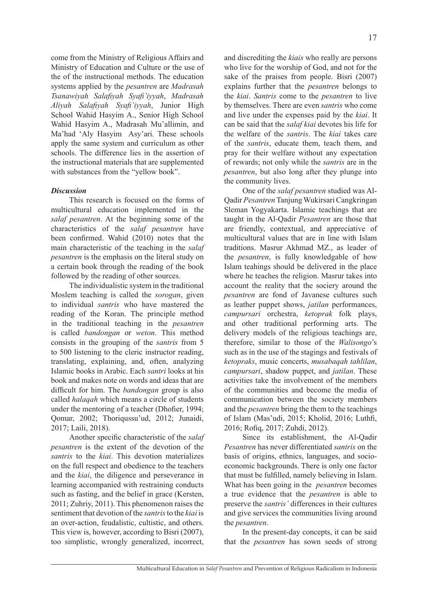come from the Ministry of Religious Affairs and Ministry of Education and Culture or the use of the of the instructional methods. The education systems applied by the *pesantren* are *Madrasah Tsanawiyah Salafiyah Syafi'iyyah*, *Madrasah Aliyah Salafiyah Syafi'iyyah*, Junior High School Wahid Hasyim A., Senior High School Wahid Hasyim A., Madrasah Mu'allimin, and Ma'had 'Aly Hasyim Asy'ari. These schools apply the same system and curriculum as other schools. The difference lies in the assertion of the instructional materials that are supplemented with substances from the "yellow book".

## *Discussion*

This research is focused on the forms of multicultural education implemented in the *salaf pesantren*. At the beginning some of the characteristics of the *salaf pesantren* have been confirmed. Wahid (2010) notes that the main characteristic of the teaching in the *salaf pesantren* is the emphasis on the literal study on a certain book through the reading of the book followed by the reading of other sources.

The individualistic system in the traditional Moslem teaching is called the *sorogan*, given to individual *santris* who have mastered the reading of the Koran. The principle method in the traditional teaching in the *pesantren* is called *bandongan* or *weton*. This method consists in the grouping of the *santris* from 5 to 500 listening to the cleric instructor reading, translating, explaining, and, often, analyzing Islamic books in Arabic. Each *santri* looks at his book and makes note on words and ideas that are difficult for him. The *bandongan* group is also called *halaqah* which means a circle of students under the mentoring of a teacher (Dhofier, 1994; Qomar, 2002; Thoriqussu'ud, 2012; Junaidi, 2017; Laili, 2018).

Another specific characteristic of the *salaf pesantren* is the extent of the devotion of the *santris* to the *kiai*. This devotion materializes on the full respect and obedience to the teachers and the *kiai*, the diligence and perseverance in learning accompanied with restraining conducts such as fasting, and the belief in grace (Kersten, 2011; Zuhriy, 2011). This phenomenon raises the sentiment that devotion of the *santris* to the *kiai* is an over-action, feudalistic, cultistic, and others. This view is, however, according to Bisri (2007), too simplistic, wrongly generalized, incorrect,

and discrediting the *kiais* who really are persons who live for the worship of God, and not for the sake of the praises from people. Bisri (2007) explains further that the *pesantren* belongs to the *kiai*. *Santris* come to the *pesantren* to live by themselves. There are even *santris* who come and live under the expenses paid by the *kiai*. It can be said that the *salaf kiai* devotes his life for the welfare of the *santris*. The *kiai* takes care of the *santris*, educate them, teach them, and pray for their welfare without any expectation of rewards; not only while the *santris* are in the *pesantren*, but also long after they plunge into the community lives.

One of the *salaf pesantren* studied was Al-Qadir *Pesantren* Tanjung Wukirsari Cangkringan Sleman Yogyakarta. Islamic teachings that are taught in the Al-Qadir *Pesantren* are those that are friendly, contextual, and appreciative of multicultural values that are in line with Islam traditions. Masrur Akhmad MZ., as leader of the *pesantren*, is fully knowledgable of how Islam teahings should be delivered in the place where he teaches the religion. Masrur takes into account the reality that the sociery around the *pesantren* are fond of Javanese cultures such as leather puppet shows, *jatilan* performances, *campursari* orchestra, *ketoprak* folk plays, and other traditional performing arts. The delivery models of the religious teachings are, therefore, similar to those of the *Walisongo*'s such as in the use of the stagings and festivals of *ketopraks*, music concerts, *musabaqah tahlilan*, *campursari*, shadow puppet, and *jatilan*. These activities take the involvement of the members of the communities and become the media of communication between the society members and the *pesantren* bring the them to the teachings of Islam (Mas'udi, 2015; Kholid, 2016; Luthfi, 2016; Rofiq, 2017; Zuhdi, 2012).

Since its establishment, the Al-Qadir *Pesantren* has never differentiated *santris* on the basis of origins, ethnics, languages, and socioeconomic backgrounds. There is only one factor that must be fulfilled, namely believing in Islam. What has been going in the *pesantren* becomes a true evidence that the *pesantren* is able to preserve the *santris'* differences in their cultures and give services the communities living around the *pesantren*.

In the present-day concepts, it can be said that the *pesantren* has sown seeds of strong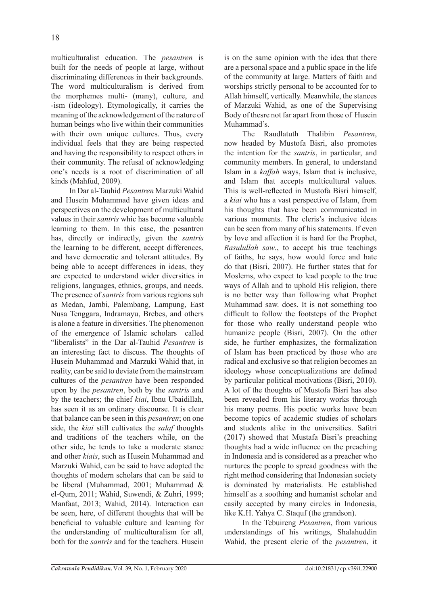multiculturalist education. The *pesantren* is built for the needs of people at large, without discriminating differences in their backgrounds. The word multiculturalism is derived from the morphemes multi- (many), culture, and -ism (ideology). Etymologically, it carries the meaning of the acknowledgement of the nature of human beings who live within their communities with their own unique cultures. Thus, every individual feels that they are being respected and having the responsibility to respect others in their community. The refusal of acknowledging one's needs is a root of discrimination of all kinds (Mahfud, 2009).

In Dar al-Tauhid *Pesantren* Marzuki Wahid and Husein Muhammad have given ideas and perspectives on the development of multicultural values in their *santris* whic has become valuable learning to them. In this case, the pesantren has, directly or indirectly, given the *santris* the learning to be different, accept differences, and have democratic and tolerant attitudes. By being able to accept differences in ideas, they are expected to understand wider diversities in religions, languages, ethnics, groups, and needs. The presence of *santris* from various regions suh as Medan, Jambi, Palembang, Lampung, East Nusa Tenggara, Indramayu, Brebes, and others is alone a feature in diversities. The phenomenon of the emergence of Islamic scholars called "liberalists" in the Dar al-Tauhid *Pesantren* is an interesting fact to discuss. The thoughts of Husein Muhammad and Marzuki Wahid that, in reality, can be said to deviate from the mainstream cultures of the *pesantren* have been responded upon by the *pesantren*, both by the *santris* and by the teachers; the chief *kiai*, Ibnu Ubaidillah, has seen it as an ordinary discourse. It is clear that balance can be seen in this *pesantren*; on one side, the *kiai* still cultivates the *salaf* thoughts and traditions of the teachers while, on the other side, he tends to take a moderate stance and other *kiais*, such as Husein Muhammad and Marzuki Wahid, can be said to have adopted the thoughts of modern scholars that can be said to be liberal (Muhammad, 2001; Muhammad & el-Qum, 2011; Wahid, Suwendi, & Zuhri, 1999; Manfaat, 2013; Wahid, 2014). Interaction can be seen, here, of different thoughts that will be beneficial to valuable culture and learning for the understanding of multiculturalism for all, both for the *santris* and for the teachers. Husein is on the same opinion with the idea that there are a personal space and a public space in the life of the community at large. Matters of faith and worships strictly personal to be accounted for to Allah himself, vertically. Meanwhile, the stances of Marzuki Wahid, as one of the Supervising Body of thesre not far apart from those of Husein Muhammad's.

The Raudlatuth Thalibin *Pesantren*, now headed by Mustofa Bisri, also promotes the intention for the *santris*, in particular, and community members. In general, to understand Islam in a *kaffah* ways, Islam that is inclusive, and Islam that accepts multicultural values. This is well-reflected in Mustofa Bisri himself, a *kiai* who has a vast perspective of Islam, from his thoughts that have been communicated in various moments. The cleris's inclusive ideas can be seen from many of his statements. If even by love and affection it is hard for the Prophet, *Rasulullah saw*., to accept his true teachings of faiths, he says, how would force and hate do that (Bisri, 2007). He further states that for Moslems, who expect to lead people to the true ways of Allah and to uphold His religion, there is no better way than following what Prophet Muhammad saw. does. It is not something too difficult to follow the footsteps of the Prophet for those who really understand people who humanize people (Bisri, 2007). On the other side, he further emphasizes, the formalization of Islam has been practiced by those who are radical and exclusive so that religion becomes an ideology whose conceptualizations are defined by particular political motivations (Bisri, 2010). A lot of the thoughts of Mustofa Bisri has also been revealed from his literary works through his many poems. His poetic works have been become topics of academic studies of scholars and students alike in the universities. Safitri (2017) showed that Mustafa Bisri's preaching thoughts had a wide influence on the preaching in Indonesia and is considered as a preacher who nurtures the people to spread goodness with the right method considering that Indonesian society is dominated by materialists. He established himself as a soothing and humanist scholar and easily accepted by many circles in Indonesia, like K.H. Yahya C. Staquf (the grandson).

In the Tebuireng *Pesantren*, from various understandings of his writings, Shalahuddin Wahid, the present cleric of the *pesantren*, it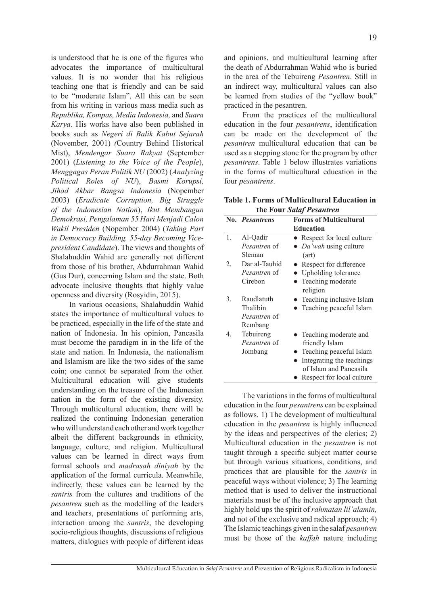is understood that he is one of the figures who advocates the importance of multicultural values. It is no wonder that his religious teaching one that is friendly and can be said to be "moderate Islam". All this can be seen from his writing in various mass media such as *Republika, Kompas, Media Indonesia,* and *Suara Karya*. His works have also been published in books such as *Negeri di Balik Kabut Sejarah*  (November, 2001) *(*Country Behind Historical Mist), *Mendengar Suara Rakyat* (September 2001) (*Listening to the Voice of the People*), *Menggagas Peran Politik NU* (2002) (*Analyzing Political Roles of NU*), *Basmi Korupsi, Jihad Akbar Bangsa Indonesia* (Nopember 2003) (*Eradicate Corruption, Big Struggle of the Indonesian Nation*), *Ikut Membangun Demokrasi, Pengalaman 55 Hari Menjadi Calon Wakil Presiden* (Nopember 2004) (*Taking Part in Democracy Building, 55-day Becoming Vicepresident Candidate*). The views and thoughts of Shalahuddin Wahid are generally not different from those of his brother, Abdurrahman Wahid (Gus Dur), concerning Islam and the state. Both advocate inclusive thoughts that highly value openness and diversity (Rosyidin, 2015).

In various occasions, Shalahuddin Wahid states the importance of multicultural values to be practiced, especially in the life of the state and nation of Indonesia. In his opinion, Pancasila must become the paradigm in in the life of the state and nation. In Indonesia, the nationalism and Islamism are like the two sides of the same coin; one cannot be separated from the other. Multicultural education will give students understanding on the treasure of the Indonesian nation in the form of the existing diversity. Through multicultural education, there will be realized the continuing Indonesian generation who will understand each other and work together albeit the different backgrounds in ethnicity, language, culture, and religion. Multicultural values can be learned in direct ways from formal schools and *madrasah diniyah* by the application of the formal curricula. Meanwhile, indirectly, these values can be learned by the *santris* from the cultures and traditions of the *pesantren* such as the modelling of the leaders and teachers, presentations of performing arts, interaction among the *santris*, the developing socio-religious thoughts, discussions of religious matters, dialogues with people of different ideas and opinions, and multicultural learning after the death of Abdurrahman Wahid who is buried in the area of the Tebuireng *Pesantren*. Still in an indirect way, multicultural values can also be learned from studies of the "yellow book" practiced in the pesantren.

From the practices of the multicultural education in the four *pesantrens*, identification can be made on the development of the *pesantren* multicultural education that can be used as a stepping stone for the program by other *pesantrens*. Table 1 below illustrates variations in the forms of multicultural education in the four *pesantrens*.

**Table 1. Forms of Multicultural Education in the Four** *Salaf Pesantren*

|    | No. Pesantrens      | <b>Forms of Multicultural</b>  |
|----|---------------------|--------------------------------|
|    |                     | <b>Education</b>               |
| 1. | Al-Qadir            | • Respect for local culture    |
|    | <i>Pesantren</i> of | • <i>Da'wah</i> using culture  |
|    | Sleman              | (art)                          |
| 2. | Dar al-Tauhid       | Respect for difference         |
|    | <i>Pesantren</i> of | Upholding tolerance            |
|    | Cirebon             | Teaching moderate              |
|    |                     | religion                       |
| 3. | Raudlatuth          | Teaching inclusive Islam       |
|    | Thalibin            | <b>Teaching peaceful Islam</b> |
|    | <i>Pesantren</i> of |                                |
|    | Rembang             |                                |
| 4. | Tebuireng           | • Teaching moderate and        |
|    | <i>Pesantren</i> of | friendly Islam                 |
|    | Jombang             | Teaching peaceful Islam        |
|    |                     | Integrating the teachings      |
|    |                     | of Islam and Pancasila         |
|    |                     | Respect for local culture      |
|    |                     |                                |

The variations in the forms of multicultural education in the four *pesantrens* can be explained as follows. 1) The development of multicultural education in the *pesantren* is highly influenced by the ideas and perspectives of the clerics; 2) Multicultural education in the *pesantren* is not taught through a specific subject matter course but through various situations, conditions, and practices that are plausible for the *santris* in peaceful ways without violence; 3) The learning method that is used to deliver the instructional materials must be of the inclusive approach that highly hold ups the spirit of *rahmatan lil'alamin,*  and not of the exclusive and radical approach; 4) The Islamic teachings given in the salaf *pesantren* must be those of the *kaffah* nature including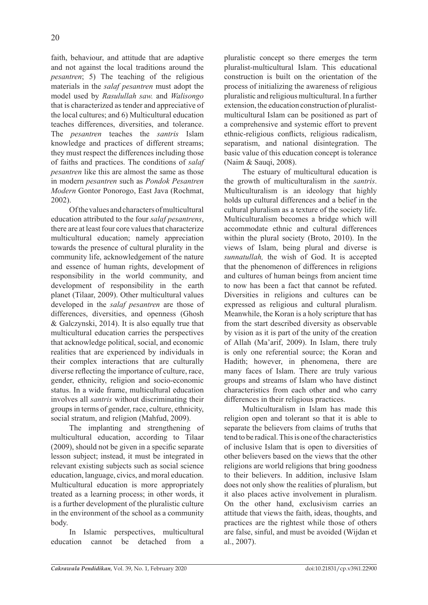faith, behaviour, and attitude that are adaptive and not against the local traditions around the *pesantren*; 5) The teaching of the religious materials in the *salaf pesantren* must adopt the model used by *Rasulullah saw.* and *Walisongo* that is characterized as tender and appreciative of the local cultures; and 6) Multicultural education teaches differences, diversities, and tolerance. The *pesantren* teaches the *santris* Islam knowledge and practices of different streams; they must respect the differences including those of faiths and practices. The conditions of *salaf pesantren* like this are almost the same as those in modern *pesantren* such as *Pondok Pesantren Modern* Gontor Ponorogo, East Java (Rochmat, 2002).

Of the values and characters of multicultural education attributed to the four *salaf pesantrens*, there are at least four core values that characterize multicultural education; namely appreciation towards the presence of cultural plurality in the community life, acknowledgement of the nature and essence of human rights, development of responsibility in the world community, and development of responsibility in the earth planet (Tilaar, 2009). Other multicultural values developed in the *salaf pesantren* are those of differences, diversities, and openness (Ghosh & Galczynski, 2014). It is also equally true that multicultural education carries the perspectives that acknowledge political, social, and economic realities that are experienced by individuals in their complex interactions that are culturally diverse reflecting the importance of culture, race, gender, ethnicity, religion and socio-economic status. In a wide frame, multicultural education involves all *santris* without discriminating their groups in terms of gender, race, culture, ethnicity, social stratum, and religion (Mahfud, 2009).

The implanting and strengthening of multicultural education, according to Tilaar (2009), should not be given in a specific separate lesson subject; instead, it must be integrated in relevant existing subjects such as social science education, language, civics, and moral education. Multicultural education is more appropriately treated as a learning process; in other words, it is a further development of the pluralistic culture in the environment of the school as a community body.

In Islamic perspectives, multicultural education cannot be detached from a

pluralistic concept so there emerges the term pluralist-multicultural Islam. This educational construction is built on the orientation of the process of initializing the awareness of religious pluralistic and religious multicultural. In a further extension, the education construction of pluralistmulticultural Islam can be positioned as part of a comprehensive and systemic effort to prevent ethnic-religious conflicts, religious radicalism, separatism, and national disintegration. The basic value of this education concept is tolerance (Naim & Sauqi, 2008).

The estuary of multicultural education is the growth of multiculturalism in the *santris*. Multiculturalism is an ideology that highly holds up cultural differences and a belief in the cultural pluralism as a texture of the society life. Multiculturalism becomes a bridge which will accommodate ethnic and cultural differences within the plural society (Broto, 2010). In the views of Islam, being plural and diverse is *sunnatullah,* the wish of God. It is accepted that the phenomenon of differences in religions and cultures of human beings from ancient time to now has been a fact that cannot be refuted. Diversities in religions and cultures can be expressed as religious and cultural pluralism. Meanwhile, the Koran is a holy scripture that has from the start described diversity as observable by vision as it is part of the unity of the creation of Allah (Ma'arif, 2009). In Islam, there truly is only one referential source; the Koran and Hadith; however, in phenomena, there are many faces of Islam. There are truly various groups and streams of Islam who have distinct characteristics from each other and who carry differences in their religious practices.

Multiculturalism in Islam has made this religion open and tolerant so that it is able to separate the believers from claims of truths that tend to be radical. This is one of the characteristics of inclusive Islam that is open to diversities of other believers based on the views that the other religions are world religions that bring goodness to their believers. In addition, inclusive Islam does not only show the realities of pluralism, but it also places active involvement in pluralism. On the other hand, exclusivism carries an attitude that views the faith, ideas, thoughts, and practices are the rightest while those of others are false, sinful, and must be avoided (Wijdan et al., 2007).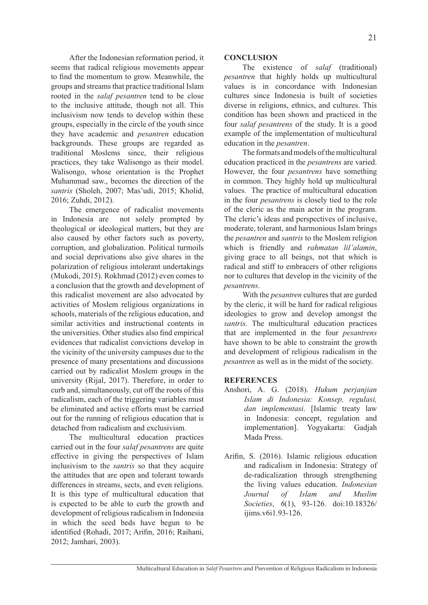After the Indonesian reformation period, it seems that radical religious movements appear to find the momentum to grow. Meanwhile, the groups and streams that practice traditional Islam rooted in the *salaf pesantren* tend to be close to the inclusive attitude, though not all. This inclusivism now tends to develop within these groups, especially in the circle of the youth since they have academic and *pesantren* education backgrounds. These groups are regarded as traditional Moslems since, their religious practices, they take Walisongo as their model. Walisongo, whose orientation is the Prophet Muhammad saw., becomes the direction of the *santris* (Sholeh, 2007; Mas'udi, 2015; Kholid, 2016; Zuhdi, 2012).

The emergence of radicalist movements in Indonesia are not solely prompted by theological or ideological matters, but they are also caused by other factors such as poverty, corruption, and globalization. Political turmoils and social deprivations also give shares in the polarization of religious intolerant undertakings (Mukodi, 2015). Rokhmad (2012) even comes to a conclusion that the growth and development of this radicalist movement are also advocated by activities of Moslem religious organizations in schools, materials of the religious education, and similar activities and instructional contents in the universities. Other studies also find empirical evidences that radicalist convictions develop in the vicinity of the university campuses due to the presence of many presentations and discussions carried out by radicalist Moslem groups in the university (Rijal, 2017). Therefore, in order to curb and, simultaneously, cut off the roots of this radicalism, each of the triggering variables must be eliminated and active efforts must be carried out for the running of religious education that is detached from radicalism and exclusivism.

The multicultural education practices carried out in the four *salaf pesantrens* are quite effective in giving the perspectives of Islam inclusivism to the *santris* so that they acquire the attitudes that are open and tolerant towards differences in streams, sects, and even religions. It is this type of multicultural education that is expected to be able to curb the growth and development of religious radicalism in Indonesia in which the seed beds have begun to be identified (Rohadi, 2017; Arifin, 2016; Raihani, 2012; Jamhari, 2003).

# **CONCLUSION**

The existence of *salaf* (traditional) *pesantren* that highly holds up multicultural values is in concordance with Indonesian cultures since Indonesia is built of societies diverse in religions, ethnics, and cultures. This condition has been shown and practiced in the four *salaf pesantrens* of the study. It is a good example of the implementation of multicultural education in the *pesantren*.

The formats and models of the multicultural education practiced in the *pesantrens* are varied. However, the four *pesantrens* have something in common. They highly hold up multicultural values. The practice of multicultural education in the four *pesantrens* is closely tied to the role of the cleric as the main actor in the program. The cleric's ideas and perspectives of inclusive, moderate, tolerant, and harmonious Islam brings the *pesantren* and *santris* to the Moslem religion which is friendly and *rahmatan lil'alamin*, giving grace to all beings, not that which is radical and stiff to embracers of other religions nor to cultures that develop in the vicinity of the *pesantrens*.

With the *pesantren* cultures that are gurded by the cleric, it will be hard for radical religious ideologies to grow and develop amongst the *santris*. The multicultural education practices that are implemented in the four *pesantrens* have shown to be able to constraint the growth and development of religious radicalism in the *pesantren* as well as in the midst of the society.

# **REFERENCES**

- Anshori, A. G. (2018). *Hukum perjanjian Islam di Indonesia: Konsep, regulasi, dan implementasi*. [Islamic treaty law in Indonesia: concept, regulation and implementation]. Yogyakarta: Gadjah Mada Press.
- Arifin, S. (2016). Islamic religious education and radicalism in Indonesia: Strategy of de-radicalization through strengthening the living values education. *Indonesian Journal of Islam and Muslim Societies*, *6*(1), 93-126. doi:10.18326/ ijims.v6i1.93-126.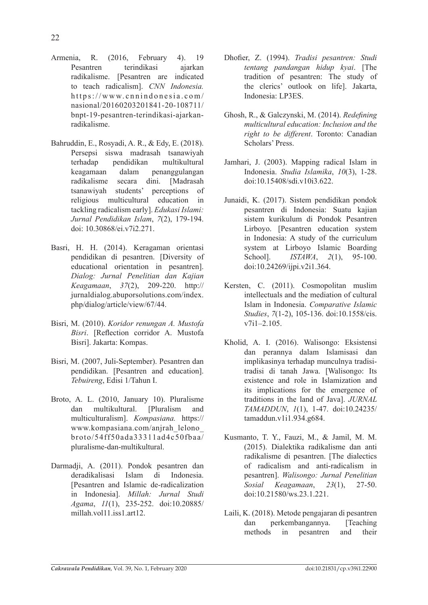- Armenia, R. (2016, February 4). 19 Pesantren terindikasi ajarkan radikalisme. [Pesantren are indicated to teach radicalism]. *CNN Indonesia.*  https://www.cnnindonesia.com/ nasional/20160203201841-20-108711/ bnpt-19-pesantren-terindikasi-ajarkanradikalisme.
- Bahruddin, E., Rosyadi, A. R., & Edy, E. (2018). Persepsi siswa madrasah tsanawiyah terhadap pendidikan multikultural keagamaan dalam penanggulangan radikalisme secara dini. [Madrasah tsanawiyah students' perceptions of religious multicultural education in tackling radicalism early]. *Edukasi Islami: Jurnal Pendidikan Islam*, *7*(2), 179-194. doi: 10.30868/ei.v7i2.271.
- Basri, H. H. (2014). Keragaman orientasi pendidikan di pesantren. [Diversity of educational orientation in pesantren]. *Dialog: Jurnal Penelitian dan Kajian Keagamaan*, *37*(2), 209-220. http:// jurnaldialog.abuporsolutions.com/index. php/dialog/article/view/67/44.
- Bisri, M. (2010). *Koridor renungan A. Mustofa Bisri*. [Reflection corridor A. Mustofa Bisri]. Jakarta: Kompas.
- Bisri, M. (2007, Juli-September). Pesantren dan pendidikan. [Pesantren and education]. *Tebuireng*, Edisi 1/Tahun I.
- Broto, A. L. (2010, January 10). Pluralisme dan multikultural. [Pluralism and multiculturalism]. *Kompasiana.* https:// www.kompasiana.com/anjrah\_lelono\_ broto/54ff50ada33311ad4c50fbaa/ pluralisme-dan-multikultural.
- Darmadji, A. (2011). Pondok pesantren dan deradikalisasi Islam di Indonesia. [Pesantren and Islamic de-radicalization in Indonesia]. *Millah: Jurnal Studi Agama*, *11*(1), 235-252. doi:10.20885/ millah.vol11. iss1. art12.
- Dhofier, Z. (1994). *Tradisi pesantren: Studi tentang pandangan hidup kyai*. [The tradition of pesantren: The study of the clerics' outlook on life]. Jakarta, Indonesia: LP3ES.
- Ghosh, R., & Galczynski, M. (2014). *Redefining multicultural education: Inclusion and the right to be different*. Toronto: Canadian Scholars' Press.
- Jamhari, J. (2003). Mapping radical Islam in Indonesia. *Studia Islamika*, *10*(3), 1-28. doi:10.15408/sdi.v10i3.622.
- Junaidi, K. (2017). Sistem pendidikan pondok pesantren di Indonesia: Suatu kajian sistem kurikulum di Pondok Pesantren Lirboyo. [Pesantren education system in Indonesia: A study of the curriculum system at Lirboyo Islamic Boarding School]. *ISTAWA*, *2*(1), 95-100. doi:10.24269/ijpi.v2i1.364.
- Kersten, C. (2011). Cosmopolitan muslim intellectuals and the mediation of cultural Islam in Indonesia. *Comparative Islamic Studies*, *7*(1-2), 105-136. doi:10.1558/cis. v7i1–2.105.
- Kholid, A. I. (2016). Walisongo: Eksistensi dan perannya dalam Islamisasi dan implikasinya terhadap munculnya tradisitradisi di tanah Jawa. [Walisongo: Its existence and role in Islamization and its implications for the emergence of traditions in the land of Java]. *JURNAL TAMADDUN*, *1*(1), 1-47. doi:10.24235/ tamaddun.v1i1.934.g684.
- Kusmanto, T. Y., Fauzi, M., & Jamil, M. M. (2015). Dialektika radikalisme dan anti radikalisme di pesantren. [The dialectics of radicalism and anti-radicalism in pesantren]. *Walisongo: Jurnal Penelitian Sosial Keagamaan*, *23*(1), 27-50. doi:10.21580/ws.23.1.221.
- Laili, K. (2018). Metode pengajaran di pesantren dan perkembangannya. [Teaching methods in pesantren and their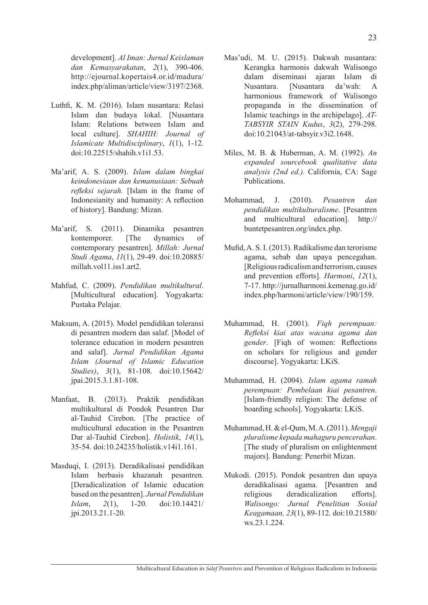development]. *Al Iman: Jurnal Keislaman dan Kemasyarakatan*, *2*(1), 390-406. http://ejournal.kopertais4.or.id/madura/ index.php/aliman/article/view/3197/2368.

- Luthfi, K. M. (2016). Islam nusantara: Relasi Islam dan budaya lokal. [Nusantara Islam: Relations between Islam and local culture]. *SHAHIH: Journal of Islamicate Multidisciplinary*, *1*(1), 1-12. doi:10.22515/shahih.v1i1.53.
- Ma'arif, A. S. (2009). *Islam dalam bingkai keindonesiaan dan kemanusiaan: Sebuah refleksi sejarah.* [Islam in the frame of Indonesianity and humanity: A reflection of history]. Bandung: Mizan.
- Ma'arif, S. (2011). Dinamika pesantren kontemporer. [The dynamics of contemporary pesantren]. *Millah: Jurnal Studi Agama*, *11*(1), 29-49. doi:10.20885/ millah.vol11. iss1. art2.
- Mahfud, C. (2009). *Pendidikan multikultural*. [Multicultural education]. Yogyakarta: Pustaka Pelajar.
- Maksum, A. (2015). Model pendidikan toleransi di pesantren modern dan salaf. [Model of tolerance education in modern pesantren and salaf]. *Jurnal Pendidikan Agama Islam (Journal of Islamic Education Studies)*, *3*(1), 81-108. doi:10.15642/ jpai.2015.3.1.81-108.
- Manfaat, B. (2013). Praktik pendidikan multikultural di Pondok Pesantren Dar al-Tauhid Cirebon. [The practice of multicultural education in the Pesantren Dar al-Tauhid Cirebon]. *Holistik*, *14*(1), 35-54. doi:10.24235/holistik.v14i1.161.
- Masduqi, I. (2013). Deradikalisasi pendidikan Islam berbasis khazanah pesantren. [Deradicalization of Islamic education based on the pesantren]. *Jurnal Pendidikan Islam*, *2*(1), 1-20. doi:10.14421/ jpi.2013.21.1-20.
- Mas'udi, M. U. (2015). Dakwah nusantara: Kerangka harmonis dakwah Walisongo dalam diseminasi ajaran Islam di Nusantara. [Nusantara da'wah: A harmonious framework of Walisongo propaganda in the dissemination of Islamic teachings in the archipelago]. *AT-TABSYIR STAIN Kudus*, *3*(2), 279-298. doi:10.21043/at-tabsyir.v3i2.1648.
- Miles, M. B. & Huberman, A. M. (1992). *An expanded sourcebook qualitative data analysis (2nd ed.).* California, CA: Sage Publications.
- Mohammad, J. (2010). *Pesantren dan pendidikan multikulturalisme*. [Pesantren and multicultural education]. http:// buntetpesantren.org/index.php.
- Mufid, A. S. I. (2013). Radikalisme dan terorisme agama, sebab dan upaya pencegahan. [Religious radicalism and terrorism, causes and prevention efforts]. *Harmoni*, *12*(1), 7-17. http://jurnalharmoni.kemenag.go.id/ index.php/harmoni/article/view/190/159.
- Muhammad, H. (2001). *Fiqh perempuan: Refleksi kiai atas wacana agama dan gender*. [Figh of women: Reflections] on scholars for religious and gender discourse]. Yogyakarta: LKiS.
- Muhammad, H. (2004). *Islam agama ramah perempuan: Pembelaan kiai pesantren*. [Islam-friendly religion: The defense of boarding schools]. Yogyakarta: LKiS.
- Muhammad, H. & el-Qum, M. A. (2011).*Mengaji pluralisme kepada mahaguru pencerahan*. [The study of pluralism on enlightenment majors]. Bandung: Penerbit Mizan.
- Mukodi. (2015). Pondok pesantren dan upaya deradikalisasi agama. [Pesantren and religious deradicalization efforts]. *Walisongo: Jurnal Penelitian Sosial Keagamaan, 23*(1), 89-112*.* doi:10.21580/ ws.23.1.224.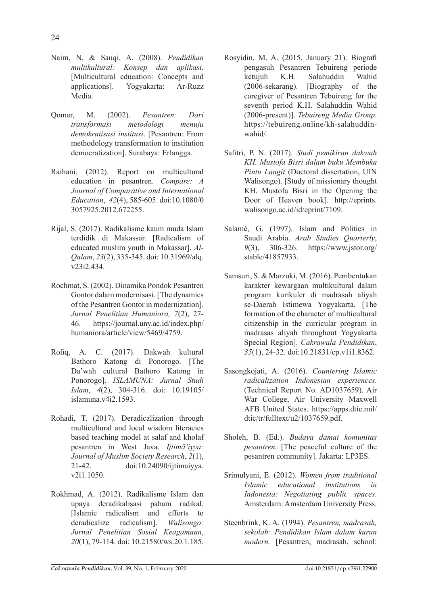- Naim, N. & Sauqi, A. (2008). *Pendidikan multikultural: Konsep dan aplikasi*. [Multicultural education: Concepts and applications]. Yogyakarta: Ar-Ruzz Media.
- Qomar, M. (2002). *Pesantren: Dari transformasi metodologi menuju demokratisasi institusi*. [Pesantren: From methodology transformation to institution democratization]. Surabaya: Erlangga.
- Raihani. (2012). Report on multicultural education in pesantren. *Compare: A Journal of Comparative and International Education*, *42*(4), 585-605. doi:10.1080/0 3057925.2012.672255.
- Rijal, S. (2017). Radikalisme kaum muda Islam terdidik di Makassar. [Radicalism of educated muslim youth in Makassar]. *Al-Qalam*, *23*(2), 335-345. doi: 10.31969/alq. v23i2.434.
- Rochmat, S. (2002). Dinamika Pondok Pesantren Gontor dalam modernisasi. [The dynamics of the Pesantren Gontor in modernization]. *Jurnal Penelitian Humaniora, 7*(2), 27- 46. https://journal.uny.ac.id/index.php/ humaniora/article/view/5469/4759.
- Rofiq, A. C. (2017). Dakwah kultural Bathoro Katong di Ponorogo. [The Da'wah cultural Bathoro Katong in Ponorogo]. *ISLAMUNA: Jurnal Studi Islam*, *4*(2), 304-316. doi: 10.19105/ islamuna.v4i2.1593.
- Rohadi, T. (2017). Deradicalization through multicultural and local wisdom literacies based teaching model at salaf and kholaf pesantren in West Java. *Ijtimā'iyya: Journal of Muslim Society Research*, *2*(1), 21-42. doi:10.24090/ijtimaiyya. v2i1.1050.
- Rokhmad, A. (2012). Radikalisme Islam dan upaya deradikalisasi paham radikal. [Islamic radicalism and efforts to deradicalize radicalism]. *Walisongo: Jurnal Penelitian Sosial Keagamaan*, *20*(1), 79-114. doi: 10.21580/ws.20.1.185.
- Rosyidin, M. A. (2015, January 21). Biografi pengasuh Pesantren Tebuireng periode ketujuh K.H. Salahuddin Wahid (2006-sekarang). [Biography of the caregiver of Pesantren Tebuireng for the seventh period K.H. Salahuddin Wahid (2006-present)]. *Tebuireng Media Group*. https://tebuireng.online/kh-salahuddinwahid/.
- Safitri, P. N. (2017). *Studi pemikiran dakwah KH. Mustofa Bisri dalam buku Membuka Pintu Langit* (Doctoral dissertation, UIN Walisongo). [Study of missionary thought KH. Mustofa Bisri in the Opening the Door of Heaven book]. http://eprints. walisongo.ac.id/id/eprint/7109.
- Salamé, G. (1997). Islam and Politics in Saudi Arabia. *Arab Studies Quarterly*, *9*(3), 306-326. https://www.jstor.org/ stable/41857933.
- Samsuri, S. & Marzuki, M. (2016). Pembentukan karakter kewargaan multikultural dalam program kurikuler di madrasah aliyah se-Daerah Istimewa Yogyakarta. [The formation of the character of multicultural citizenship in the curricular program in madrasas aliyah throughout Yogyakarta Special Region]. *Cakrawala Pendidikan*, *35*(1), 24-32. doi:10.21831/cp.v1i1.8362.
- Sasongkojati, A. (2016). *Countering Islamic radicalization Indonesian experiences*. (Technical Report No. AD1037659). Air War College, Air University Maxwell AFB United States. https://apps.dtic.mil/ dtic/tr/fulltext/u2/1037659.pdf.
- Sholeh, B. (Ed.). *Budaya damai komunitas pesantren.* [The peaceful culture of the pesantren community]. Jakarta: LP3ES.
- Srimulyani, E. (2012). *Women from traditional Islamic educational institutions in Indonesia: Negotiating public spaces*. Amsterdam: Amsterdam University Press.
- Steenbrink, K. A. (1994). *Pesantren, madrasah, sekolah: Pendidikan Islam dalam kurun modern.* [Pesantren, madrasah, school: